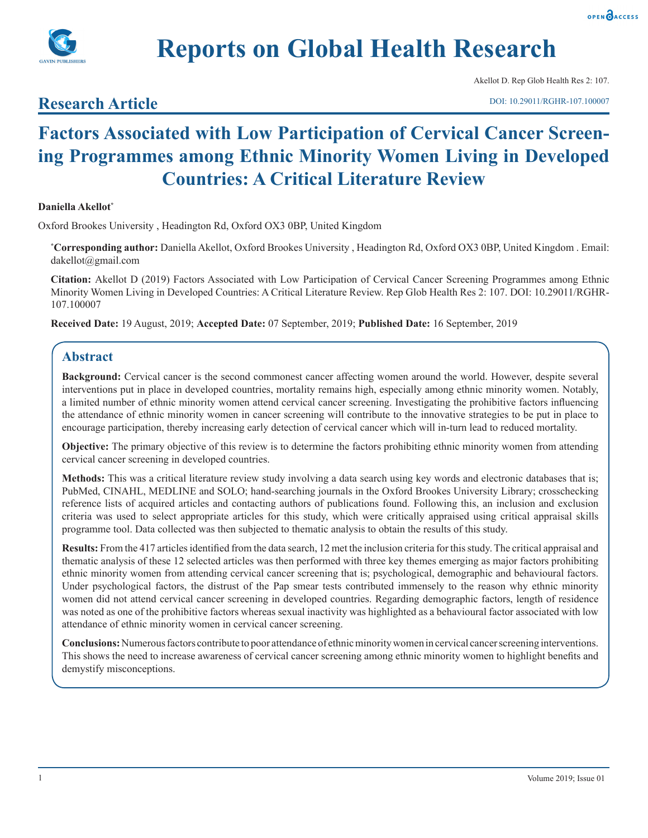



Akellot D. Rep Glob Health Res 2: 107.

## **Research Article**

# **Factors Associated with Low Participation of Cervical Cancer Screening Programmes among Ethnic Minority Women Living in Developed Countries: A Critical Literature Review**

#### **Daniella Akellot\***

Oxford Brookes University , Headington Rd, Oxford OX3 0BP, United Kingdom

**\* Corresponding author:** Daniella Akellot, Oxford Brookes University , Headington Rd, Oxford OX3 0BP, United Kingdom . Email: dakellot@gmail.com

**Citation:** Akellot D (2019) Factors Associated with Low Participation of Cervical Cancer Screening Programmes among Ethnic Minority Women Living in Developed Countries: A Critical Literature Review. Rep Glob Health Res 2: 107. DOI: 10.29011/RGHR-107.100007

**Received Date:** 19 August, 2019; **Accepted Date:** 07 September, 2019; **Published Date:** 16 September, 2019

### **Abstract**

**Background:** Cervical cancer is the second commonest cancer affecting women around the world. However, despite several interventions put in place in developed countries, mortality remains high, especially among ethnic minority women. Notably, a limited number of ethnic minority women attend cervical cancer screening. Investigating the prohibitive factors influencing the attendance of ethnic minority women in cancer screening will contribute to the innovative strategies to be put in place to encourage participation, thereby increasing early detection of cervical cancer which will in-turn lead to reduced mortality.

**Objective:** The primary objective of this review is to determine the factors prohibiting ethnic minority women from attending cervical cancer screening in developed countries.

**Methods:** This was a critical literature review study involving a data search using key words and electronic databases that is; PubMed, CINAHL, MEDLINE and SOLO; hand-searching journals in the Oxford Brookes University Library; crosschecking reference lists of acquired articles and contacting authors of publications found. Following this, an inclusion and exclusion criteria was used to select appropriate articles for this study, which were critically appraised using critical appraisal skills programme tool. Data collected was then subjected to thematic analysis to obtain the results of this study.

**Results:** From the 417 articles identified from the data search, 12 met the inclusion criteria for this study. The critical appraisal and thematic analysis of these 12 selected articles was then performed with three key themes emerging as major factors prohibiting ethnic minority women from attending cervical cancer screening that is; psychological, demographic and behavioural factors. Under psychological factors, the distrust of the Pap smear tests contributed immensely to the reason why ethnic minority women did not attend cervical cancer screening in developed countries. Regarding demographic factors, length of residence was noted as one of the prohibitive factors whereas sexual inactivity was highlighted as a behavioural factor associated with low attendance of ethnic minority women in cervical cancer screening.

**Conclusions:** Numerous factors contribute to poor attendance of ethnic minority women in cervical cancer screening interventions. This shows the need to increase awareness of cervical cancer screening among ethnic minority women to highlight benefits and demystify misconceptions.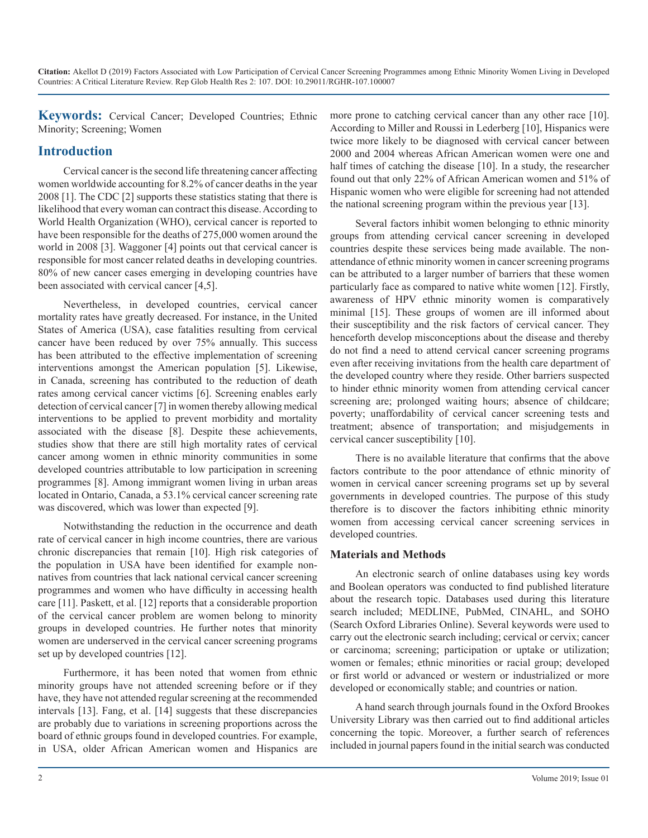**Keywords:** Cervical Cancer; Developed Countries; Ethnic Minority; Screening; Women

## **Introduction**

Cervical cancer is the second life threatening cancer affecting women worldwide accounting for 8.2% of cancer deaths in the year 2008 [1]. The CDC [2] supports these statistics stating that there is likelihood that every woman can contract this disease. According to World Health Organization (WHO), cervical cancer is reported to have been responsible for the deaths of 275,000 women around the world in 2008 [3]. Waggoner [4] points out that cervical cancer is responsible for most cancer related deaths in developing countries. 80% of new cancer cases emerging in developing countries have been associated with cervical cancer [4,5].

Nevertheless, in developed countries, cervical cancer mortality rates have greatly decreased. For instance, in the United States of America (USA), case fatalities resulting from cervical cancer have been reduced by over 75% annually. This success has been attributed to the effective implementation of screening interventions amongst the American population [5]. Likewise, in Canada, screening has contributed to the reduction of death rates among cervical cancer victims [6]. Screening enables early detection of cervical cancer [7] in women thereby allowing medical interventions to be applied to prevent morbidity and mortality associated with the disease [8]. Despite these achievements, studies show that there are still high mortality rates of cervical cancer among women in ethnic minority communities in some developed countries attributable to low participation in screening programmes [8]. Among immigrant women living in urban areas located in Ontario, Canada, a 53.1% cervical cancer screening rate was discovered, which was lower than expected [9].

Notwithstanding the reduction in the occurrence and death rate of cervical cancer in high income countries, there are various chronic discrepancies that remain [10]. High risk categories of the population in USA have been identified for example nonnatives from countries that lack national cervical cancer screening programmes and women who have difficulty in accessing health care [11]. Paskett, et al. [12] reports that a considerable proportion of the cervical cancer problem are women belong to minority groups in developed countries. He further notes that minority women are underserved in the cervical cancer screening programs set up by developed countries [12].

Furthermore, it has been noted that women from ethnic minority groups have not attended screening before or if they have, they have not attended regular screening at the recommended intervals [13]. Fang, et al. [14] suggests that these discrepancies are probably due to variations in screening proportions across the board of ethnic groups found in developed countries. For example, in USA, older African American women and Hispanics are

more prone to catching cervical cancer than any other race [10]. According to Miller and Roussi in Lederberg [10], Hispanics were twice more likely to be diagnosed with cervical cancer between 2000 and 2004 whereas African American women were one and half times of catching the disease [10]. In a study, the researcher found out that only 22% of African American women and 51% of Hispanic women who were eligible for screening had not attended the national screening program within the previous year [13].

Several factors inhibit women belonging to ethnic minority groups from attending cervical cancer screening in developed countries despite these services being made available. The nonattendance of ethnic minority women in cancer screening programs can be attributed to a larger number of barriers that these women particularly face as compared to native white women [12]. Firstly, awareness of HPV ethnic minority women is comparatively minimal [15]. These groups of women are ill informed about their susceptibility and the risk factors of cervical cancer. They henceforth develop misconceptions about the disease and thereby do not find a need to attend cervical cancer screening programs even after receiving invitations from the health care department of the developed country where they reside. Other barriers suspected to hinder ethnic minority women from attending cervical cancer screening are; prolonged waiting hours; absence of childcare; poverty; unaffordability of cervical cancer screening tests and treatment; absence of transportation; and misjudgements in cervical cancer susceptibility [10].

There is no available literature that confirms that the above factors contribute to the poor attendance of ethnic minority of women in cervical cancer screening programs set up by several governments in developed countries. The purpose of this study therefore is to discover the factors inhibiting ethnic minority women from accessing cervical cancer screening services in developed countries.

#### **Materials and Methods**

An electronic search of online databases using key words and Boolean operators was conducted to find published literature about the research topic. Databases used during this literature search included; MEDLINE, PubMed, CINAHL, and SOHO (Search Oxford Libraries Online). Several keywords were used to carry out the electronic search including; cervical or cervix; cancer or carcinoma; screening; participation or uptake or utilization; women or females; ethnic minorities or racial group; developed or first world or advanced or western or industrialized or more developed or economically stable; and countries or nation.

A hand search through journals found in the Oxford Brookes University Library was then carried out to find additional articles concerning the topic. Moreover, a further search of references included in journal papers found in the initial search was conducted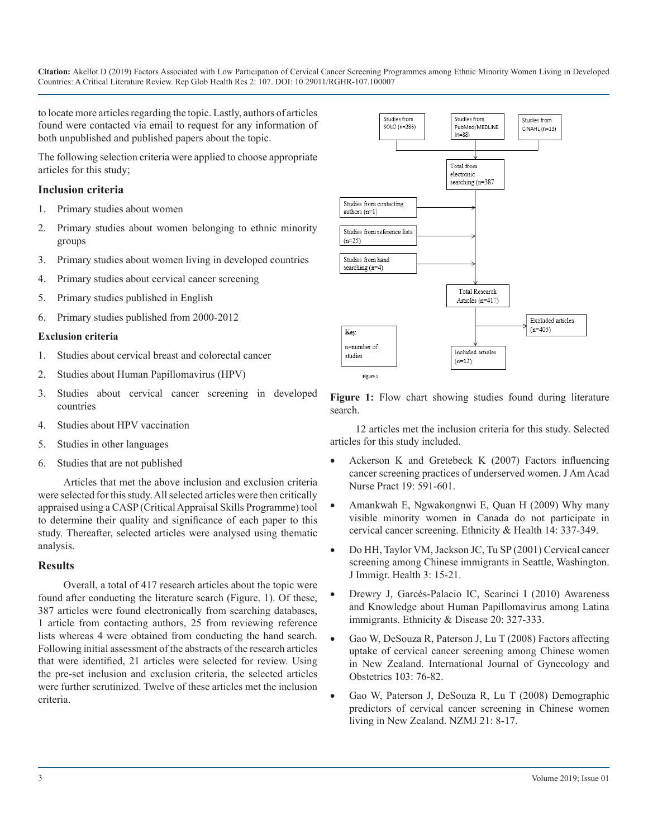to locate more articles regarding the topic. Lastly, authors of articles found were contacted via email to request for any information of both unpublished and published papers about the topic.

The following selection criteria were applied to choose appropriate articles for this study;

#### **Inclusion criteria**

- 1. Primary studies about women
- 2. Primary studies about women belonging to ethnic minority groups
- 3. Primary studies about women living in developed countries
- 4. Primary studies about cervical cancer screening
- 5. Primary studies published in English
- 6. Primary studies published from 2000-2012

#### **Exclusion criteria**

- 1. Studies about cervical breast and colorectal cancer
- 2. Studies about Human Papillomavirus (HPV)
- 3. Studies about cervical cancer screening in developed countries
- 4. Studies about HPV vaccination
- 5. Studies in other languages
- 6. Studies that are not published

Articles that met the above inclusion and exclusion criteria were selected for this study. All selected articles were then critically appraised using a CASP (Critical Appraisal Skills Programme) tool to determine their quality and significance of each paper to this study. Thereafter, selected articles were analysed using thematic analysis.

#### **Results**

Overall, a total of 417 research articles about the topic were found after conducting the literature search (Figure. 1). Of these, 387 articles were found electronically from searching databases, 1 article from contacting authors, 25 from reviewing reference lists whereas 4 were obtained from conducting the hand search. [Following initial assessment of the abstracts of the research articles](https://www.ncbi.nlm.nih.gov/pubmed/18603247)  that were identified, 21 articles were selected for review. Using the pre-set inclusion and exclusion criteria, the selected articles were further scrutinized. Twelve of these articles met the inclusion criteria.



Figure 1: Flow chart showing studies found during literature search.

12 articles met the inclusion criteria for this study. Selected articles for this study included.

- Ackerson K and Gretebeck K  $(2007)$  Factors influencing [cancer screening practices of underserved women. J Am Acad](https://www.ncbi.nlm.nih.gov/pubmed/17970859)  [Nurse Pract 19: 591-601.](https://www.ncbi.nlm.nih.gov/pubmed/17970859)
- [Amankwah E, Ngwakongnwi E, Quan H \(2009\) Why many](https://www.ncbi.nlm.nih.gov/pubmed/19280443) [visible minority women in Canada do not participate in](https://www.ncbi.nlm.nih.gov/pubmed/19280443) [cervical cancer screening. Ethnicity & Health 14: 337-349.](https://www.ncbi.nlm.nih.gov/pubmed/19280443)
- [Do HH, Taylor VM, Jackson JC, Tu SP \(2001\) Cervical cancer](https://www.ncbi.nlm.nih.gov/pubmed/16228798) [screening among Chinese immigrants in Seattle, Washington.](https://www.ncbi.nlm.nih.gov/pubmed/16228798) [J Immigr. Health 3: 15-21.](https://www.ncbi.nlm.nih.gov/pubmed/16228798)
- Drewry J, Garcés-Palacio IC, Scarinci I (2010) Awareness [and Knowledge about Human Papillomavirus among Latina](https://www.ncbi.nlm.nih.gov/pmc/articles/PMC3097024/)  [immigrants. Ethnicity & Disease 20: 327-333.](https://www.ncbi.nlm.nih.gov/pmc/articles/PMC3097024/)
- [Gao W, DeSouza R, Paterson J, Lu T \(2008\) Factors affecting](https://www.ncbi.nlm.nih.gov/pubmed/18603247) uptake of cervical cancer screening among Chinese women [in New Zealand. International Journal of Gynecology and](https://www.ncbi.nlm.nih.gov/pubmed/18603247) [Obstetrics 103: 76-82.](https://www.ncbi.nlm.nih.gov/pubmed/18603247)
- [Gao W, Paterson J, DeSouza R, Lu T \(2008\) Demographic](https://www.ncbi.nlm.nih.gov/pubmed/18677326) [predictors of cervical cancer screening in Chinese women](https://www.ncbi.nlm.nih.gov/pubmed/18677326) [living in New Zealand. NZMJ 21: 8-17.](https://www.ncbi.nlm.nih.gov/pubmed/18677326)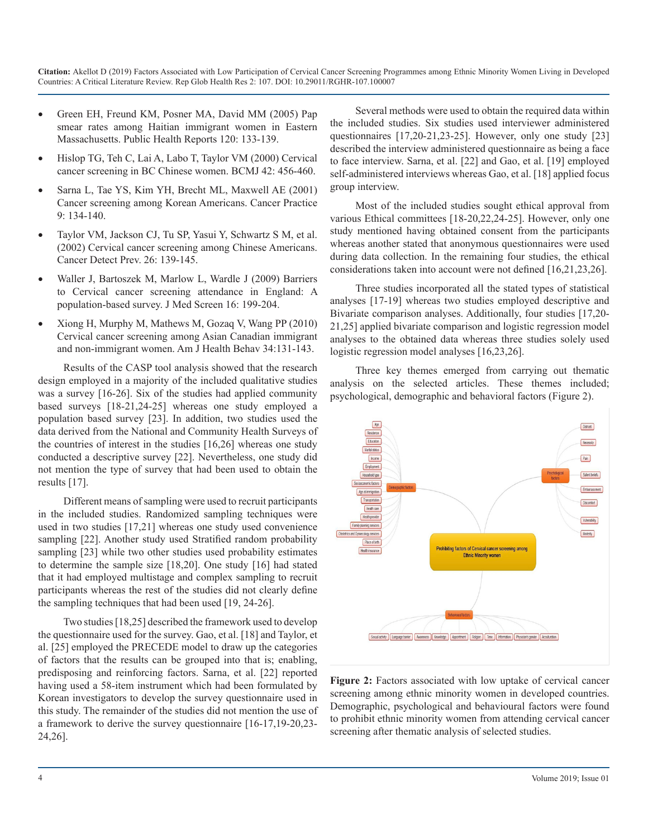- Green EH, Freund KM, Posner MA, David MM (2005) Pap smear rates among Haitian immigrant women in Eastern [Massachusetts. Public Health Reports 120: 133-139.](https://www.ncbi.nlm.nih.gov/pmc/articles/PMC1497699/)
- [Hislop TG, Teh C, Lai A, Labo T, Taylor VM \(2000\) Cervical](https://www.bcmj.org/articles/cervical-cancer-screening-bc-chinese-women) cancer screening in BC Chinese women. BCMJ 42: 456-460.
- [Sarna L, Tae YS, Kim YH, Brecht ML, Maxwell AE \(2001\)](https://onlinelibrary.wiley.com/doi/abs/10.1046/j.1523-5394.2001.009003134.x) Cancer screening among Korean Americans. Cancer Practice [9: 134-140.](https://onlinelibrary.wiley.com/doi/abs/10.1046/j.1523-5394.2001.009003134.x)
- Taylor VM, Jackson CJ, Tu SP, Yasui Y, Schwartz S M, et al. (2002) Cervical cancer screening among Chinese Americans. [Cancer Detect Prev. 26: 139-145.](https://www.ncbi.nlm.nih.gov/pubmed/12102148)
- Waller J, Bartoszek M, Marlow L, Wardle J (2009) Barriers to Cervical cancer screening attendance in England: A [population-based survey. J Med Screen 16: 199-204.](https://www.ncbi.nlm.nih.gov/pubmed/20054095)
- [Xiong H, Murphy M, Mathews M, Gozaq V, Wang PP \(2010\)](https://www.ncbi.nlm.nih.gov/pubmed/19814593) Cervical cancer screening among Asian Canadian immigrant [and non-immigrant women. Am J Health Behav 34:131-143.](https://www.ncbi.nlm.nih.gov/pubmed/19814593)

Results of the CASP tool analysis showed that the research design employed in a majority of the included qualitative studies was a survey [16-26]. Six of the studies had applied community based surveys [18-21,24-25] whereas one study employed a population based survey [23]. In addition, two studies used the data derived from the National and Community Health Surveys of the countries of interest in the studies [16,26] whereas one study conducted a descriptive survey [22]. Nevertheless, one study did not mention the type of survey that had been used to obtain the results [17].

Different means of sampling were used to recruit participants in the included studies. Randomized sampling techniques were used in two studies [17,21] whereas one study used convenience sampling [22]. Another study used Stratified random probability sampling [23] while two other studies used probability estimates to determine the sample size [18,20]. One study [16] had stated that it had employed multistage and complex sampling to recruit participants whereas the rest of the studies did not clearly define the sampling techniques that had been used [19, 24-26].

Two studies [18,25] described the framework used to develop the questionnaire used for the survey. Gao, et al. [18] and Taylor, et al. [25] employed the PRECEDE model to draw up the categories of factors that the results can be grouped into that is; enabling, predisposing and reinforcing factors. Sarna, et al. [22] reported having used a 58-item instrument which had been formulated by Korean investigators to develop the survey questionnaire used in this study. The remainder of the studies did not mention the use of a framework to derive the survey questionnaire [16-17,19-20,23- 24,26].

Several methods were used to obtain the required data within [the included studies. Six studies used interviewer administered](https://www.ncbi.nlm.nih.gov/pmc/articles/PMC1497699/)  questionnaires [17,20-21,23-25]. However, only one study [23] described the interview administered questionnaire as being a face to face interview. Sarna, et al. [22] and Gao, et al. [19] employed [self-administered interviews whereas Gao, et al. \[18\] applied focus](https://www.bcmj.org/articles/cervical-cancer-screening-bc-chinese-women)  group interview.

[Most of the included studies sought ethical approval from](https://onlinelibrary.wiley.com/doi/abs/10.1046/j.1523-5394.2001.009003134.x)  various Ethical committees [18-20,22,24-25]. However, only one study mentioned having obtained consent from the participants [whereas another stated that anonymous questionnaires were used](https://www.ncbi.nlm.nih.gov/pubmed/12102148)  during data collection. In the remaining four studies, the ethical considerations taken into account were not defined [16,21,23,26].

[Three studies incorporated all the stated types of statistical](https://www.ncbi.nlm.nih.gov/pubmed/20054095)  analyses [17-19] whereas two studies employed descriptive and Bivariate comparison analyses. Additionally, four studies [17,20- 21,25] applied bivariate comparison and logistic regression model [analyses to the obtained data whereas three studies solely used](https://www.ncbi.nlm.nih.gov/pubmed/19814593)  logistic regression model analyses [16,23,26].

Three key themes emerged from carrying out thematic analysis on the selected articles. These themes included; psychological, demographic and behavioral factors (Figure 2).



**Figure 2:** Factors associated with low uptake of cervical cancer screening among ethnic minority women in developed countries. Demographic, psychological and behavioural factors were found to prohibit ethnic minority women from attending cervical cancer screening after thematic analysis of selected studies.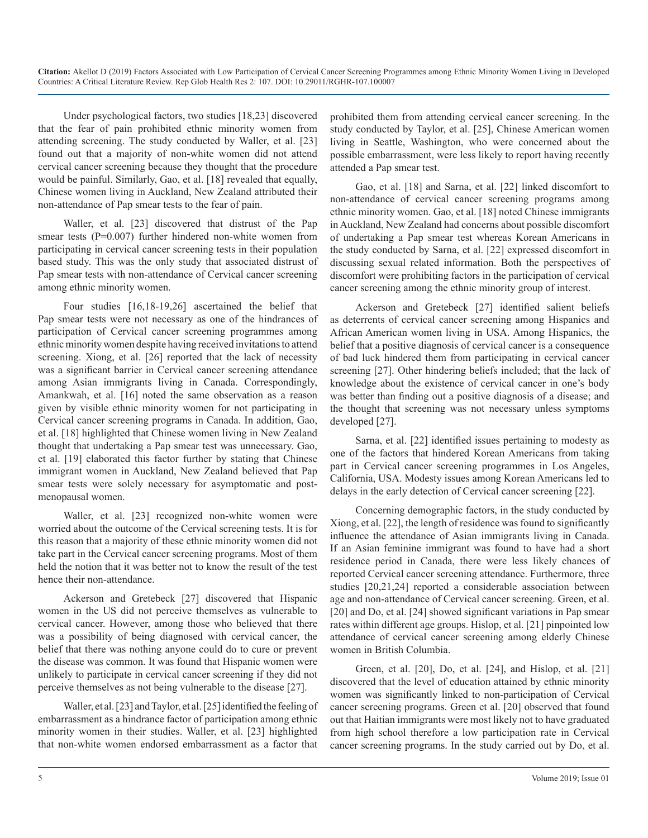Under psychological factors, two studies [18,23] discovered that the fear of pain prohibited ethnic minority women from attending screening. The study conducted by Waller, et al. [23] found out that a majority of non-white women did not attend cervical cancer screening because they thought that the procedure would be painful. Similarly, Gao, et al. [18] revealed that equally, Chinese women living in Auckland, New Zealand attributed their non-attendance of Pap smear tests to the fear of pain.

Waller, et al. [23] discovered that distrust of the Pap smear tests (P=0.007) further hindered non-white women from participating in cervical cancer screening tests in their population based study. This was the only study that associated distrust of Pap smear tests with non-attendance of Cervical cancer screening among ethnic minority women.

Four studies [16,18-19,26] ascertained the belief that Pap smear tests were not necessary as one of the hindrances of participation of Cervical cancer screening programmes among ethnic minority women despite having received invitations to attend screening. Xiong, et al. [26] reported that the lack of necessity was a significant barrier in Cervical cancer screening attendance among Asian immigrants living in Canada. Correspondingly, Amankwah, et al. [16] noted the same observation as a reason given by visible ethnic minority women for not participating in Cervical cancer screening programs in Canada. In addition, Gao, et al. [18] highlighted that Chinese women living in New Zealand thought that undertaking a Pap smear test was unnecessary. Gao, et al. [19] elaborated this factor further by stating that Chinese immigrant women in Auckland, New Zealand believed that Pap smear tests were solely necessary for asymptomatic and postmenopausal women.

Waller, et al. [23] recognized non-white women were worried about the outcome of the Cervical screening tests. It is for this reason that a majority of these ethnic minority women did not take part in the Cervical cancer screening programs. Most of them held the notion that it was better not to know the result of the test hence their non-attendance.

Ackerson and Gretebeck [27] discovered that Hispanic women in the US did not perceive themselves as vulnerable to cervical cancer. However, among those who believed that there was a possibility of being diagnosed with cervical cancer, the belief that there was nothing anyone could do to cure or prevent the disease was common. It was found that Hispanic women were unlikely to participate in cervical cancer screening if they did not perceive themselves as not being vulnerable to the disease [27].

Waller, et al. [23] and Taylor, et al. [25] identified the feeling of embarrassment as a hindrance factor of participation among ethnic minority women in their studies. Waller, et al. [23] highlighted that non-white women endorsed embarrassment as a factor that

prohibited them from attending cervical cancer screening. In the study conducted by Taylor, et al. [25], Chinese American women living in Seattle, Washington, who were concerned about the possible embarrassment, were less likely to report having recently attended a Pap smear test.

Gao, et al. [18] and Sarna, et al. [22] linked discomfort to non-attendance of cervical cancer screening programs among ethnic minority women. Gao, et al. [18] noted Chinese immigrants in Auckland, New Zealand had concerns about possible discomfort of undertaking a Pap smear test whereas Korean Americans in the study conducted by Sarna, et al. [22] expressed discomfort in discussing sexual related information. Both the perspectives of discomfort were prohibiting factors in the participation of cervical cancer screening among the ethnic minority group of interest.

Ackerson and Gretebeck [27] identified salient beliefs as deterrents of cervical cancer screening among Hispanics and African American women living in USA. Among Hispanics, the belief that a positive diagnosis of cervical cancer is a consequence of bad luck hindered them from participating in cervical cancer screening [27]. Other hindering beliefs included; that the lack of knowledge about the existence of cervical cancer in one's body was better than finding out a positive diagnosis of a disease; and the thought that screening was not necessary unless symptoms developed [27].

Sarna, et al. [22] identified issues pertaining to modesty as one of the factors that hindered Korean Americans from taking part in Cervical cancer screening programmes in Los Angeles, California, USA. Modesty issues among Korean Americans led to delays in the early detection of Cervical cancer screening [22].

Concerning demographic factors, in the study conducted by Xiong, et al. [22], the length of residence was found to significantly influence the attendance of Asian immigrants living in Canada. If an Asian feminine immigrant was found to have had a short residence period in Canada, there were less likely chances of reported Cervical cancer screening attendance. Furthermore, three studies [20,21,24] reported a considerable association between age and non-attendance of Cervical cancer screening. Green, et al. [20] and Do, et al. [24] showed significant variations in Pap smear rates within different age groups. Hislop, et al. [21] pinpointed low attendance of cervical cancer screening among elderly Chinese women in British Columbia.

Green, et al. [20], Do, et al. [24], and Hislop, et al. [21] discovered that the level of education attained by ethnic minority women was significantly linked to non-participation of Cervical cancer screening programs. Green et al. [20] observed that found out that Haitian immigrants were most likely not to have graduated from high school therefore a low participation rate in Cervical cancer screening programs. In the study carried out by Do, et al.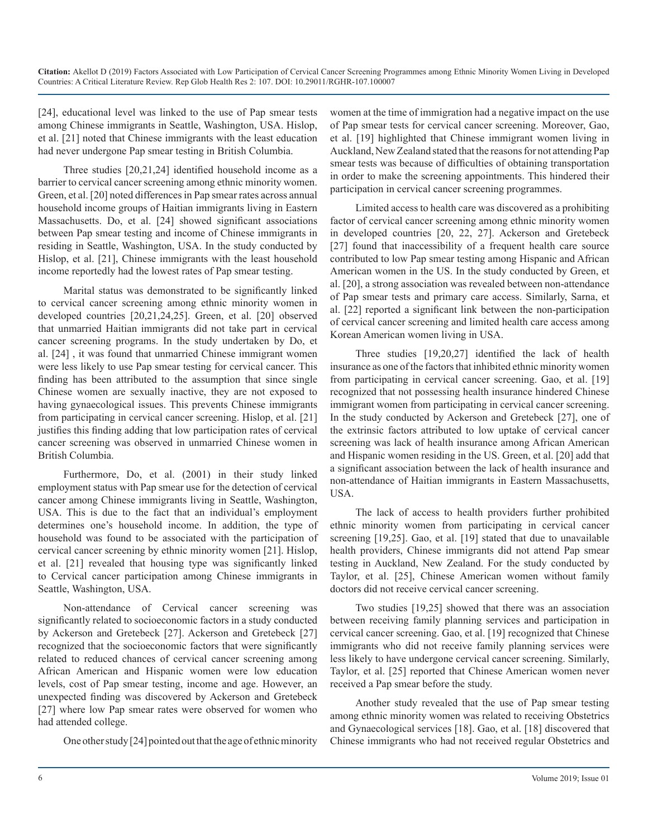[24], educational level was linked to the use of Pap smear tests among Chinese immigrants in Seattle, Washington, USA. Hislop, et al. [21] noted that Chinese immigrants with the least education had never undergone Pap smear testing in British Columbia.

Three studies [20,21,24] identified household income as a barrier to cervical cancer screening among ethnic minority women. Green, et al. [20] noted differences in Pap smear rates across annual household income groups of Haitian immigrants living in Eastern Massachusetts. Do, et al. [24] showed significant associations between Pap smear testing and income of Chinese immigrants in residing in Seattle, Washington, USA. In the study conducted by Hislop, et al. [21], Chinese immigrants with the least household income reportedly had the lowest rates of Pap smear testing.

Marital status was demonstrated to be significantly linked to cervical cancer screening among ethnic minority women in developed countries [20,21,24,25]. Green, et al. [20] observed that unmarried Haitian immigrants did not take part in cervical cancer screening programs. In the study undertaken by Do, et al. [24] , it was found that unmarried Chinese immigrant women were less likely to use Pap smear testing for cervical cancer. This finding has been attributed to the assumption that since single Chinese women are sexually inactive, they are not exposed to having gynaecological issues. This prevents Chinese immigrants from participating in cervical cancer screening. Hislop, et al. [21] justifies this finding adding that low participation rates of cervical cancer screening was observed in unmarried Chinese women in British Columbia.

Furthermore, Do, et al. (2001) in their study linked employment status with Pap smear use for the detection of cervical cancer among Chinese immigrants living in Seattle, Washington, USA. This is due to the fact that an individual's employment determines one's household income. In addition, the type of household was found to be associated with the participation of cervical cancer screening by ethnic minority women [21]. Hislop, et al. [21] revealed that housing type was significantly linked to Cervical cancer participation among Chinese immigrants in Seattle, Washington, USA.

Non-attendance of Cervical cancer screening was significantly related to socioeconomic factors in a study conducted by Ackerson and Gretebeck [27]. Ackerson and Gretebeck [27] recognized that the socioeconomic factors that were significantly related to reduced chances of cervical cancer screening among African American and Hispanic women were low education levels, cost of Pap smear testing, income and age. However, an unexpected finding was discovered by Ackerson and Gretebeck [27] where low Pap smear rates were observed for women who had attended college.

One other study [24] pointed out that the age of ethnic minority

women at the time of immigration had a negative impact on the use of Pap smear tests for cervical cancer screening. Moreover, Gao, et al. [19] highlighted that Chinese immigrant women living in Auckland, New Zealand stated that the reasons for not attending Pap smear tests was because of difficulties of obtaining transportation in order to make the screening appointments. This hindered their participation in cervical cancer screening programmes.

Limited access to health care was discovered as a prohibiting factor of cervical cancer screening among ethnic minority women in developed countries [20, 22, 27]. Ackerson and Gretebeck [27] found that inaccessibility of a frequent health care source contributed to low Pap smear testing among Hispanic and African American women in the US. In the study conducted by Green, et al. [20], a strong association was revealed between non-attendance of Pap smear tests and primary care access. Similarly, Sarna, et al. [22] reported a significant link between the non-participation of cervical cancer screening and limited health care access among Korean American women living in USA.

Three studies [19,20,27] identified the lack of health insurance as one of the factors that inhibited ethnic minority women from participating in cervical cancer screening. Gao, et al. [19] recognized that not possessing health insurance hindered Chinese immigrant women from participating in cervical cancer screening. In the study conducted by Ackerson and Gretebeck [27], one of the extrinsic factors attributed to low uptake of cervical cancer screening was lack of health insurance among African American and Hispanic women residing in the US. Green, et al. [20] add that a significant association between the lack of health insurance and non-attendance of Haitian immigrants in Eastern Massachusetts, USA.

The lack of access to health providers further prohibited ethnic minority women from participating in cervical cancer screening [19,25]. Gao, et al. [19] stated that due to unavailable health providers, Chinese immigrants did not attend Pap smear testing in Auckland, New Zealand. For the study conducted by Taylor, et al. [25], Chinese American women without family doctors did not receive cervical cancer screening.

Two studies [19,25] showed that there was an association between receiving family planning services and participation in cervical cancer screening. Gao, et al. [19] recognized that Chinese immigrants who did not receive family planning services were less likely to have undergone cervical cancer screening. Similarly, Taylor, et al. [25] reported that Chinese American women never received a Pap smear before the study.

Another study revealed that the use of Pap smear testing among ethnic minority women was related to receiving Obstetrics and Gynaecological services [18]. Gao, et al. [18] discovered that Chinese immigrants who had not received regular Obstetrics and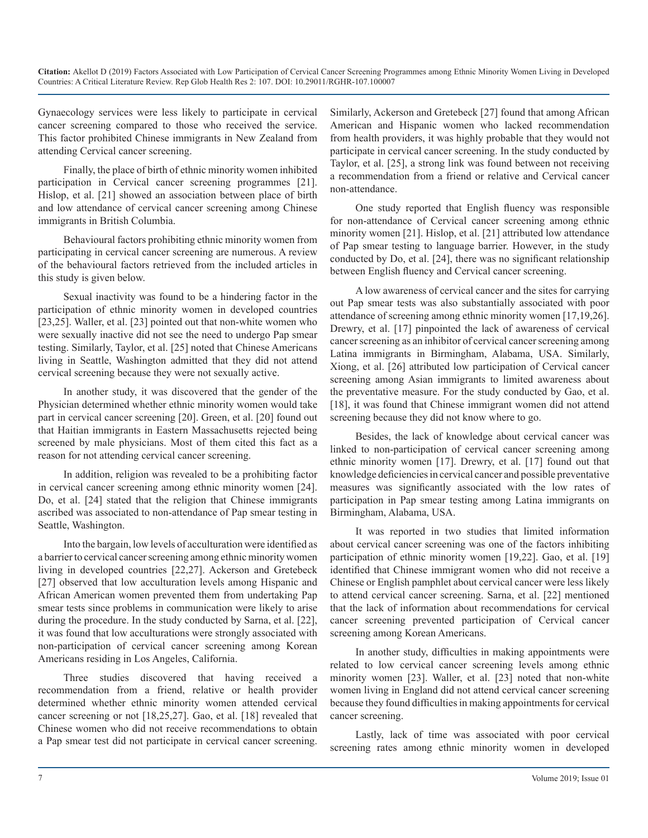Gynaecology services were less likely to participate in cervical cancer screening compared to those who received the service. This factor prohibited Chinese immigrants in New Zealand from attending Cervical cancer screening.

Finally, the place of birth of ethnic minority women inhibited participation in Cervical cancer screening programmes [21]. Hislop, et al. [21] showed an association between place of birth and low attendance of cervical cancer screening among Chinese immigrants in British Columbia.

Behavioural factors prohibiting ethnic minority women from participating in cervical cancer screening are numerous. A review of the behavioural factors retrieved from the included articles in this study is given below.

Sexual inactivity was found to be a hindering factor in the participation of ethnic minority women in developed countries [23,25]. Waller, et al. [23] pointed out that non-white women who were sexually inactive did not see the need to undergo Pap smear testing. Similarly, Taylor, et al. [25] noted that Chinese Americans living in Seattle, Washington admitted that they did not attend cervical screening because they were not sexually active.

In another study, it was discovered that the gender of the Physician determined whether ethnic minority women would take part in cervical cancer screening [20]. Green, et al. [20] found out that Haitian immigrants in Eastern Massachusetts rejected being screened by male physicians. Most of them cited this fact as a reason for not attending cervical cancer screening.

In addition, religion was revealed to be a prohibiting factor in cervical cancer screening among ethnic minority women [24]. Do, et al. [24] stated that the religion that Chinese immigrants ascribed was associated to non-attendance of Pap smear testing in Seattle, Washington.

Into the bargain, low levels of acculturation were identified as a barrier to cervical cancer screening among ethnic minority women living in developed countries [22,27]. Ackerson and Gretebeck [27] observed that low acculturation levels among Hispanic and African American women prevented them from undertaking Pap smear tests since problems in communication were likely to arise during the procedure. In the study conducted by Sarna, et al. [22], it was found that low acculturations were strongly associated with non-participation of cervical cancer screening among Korean Americans residing in Los Angeles, California.

Three studies discovered that having received a recommendation from a friend, relative or health provider determined whether ethnic minority women attended cervical cancer screening or not [18,25,27]. Gao, et al. [18] revealed that Chinese women who did not receive recommendations to obtain a Pap smear test did not participate in cervical cancer screening.

Similarly, Ackerson and Gretebeck [27] found that among African American and Hispanic women who lacked recommendation from health providers, it was highly probable that they would not participate in cervical cancer screening. In the study conducted by Taylor, et al. [25], a strong link was found between not receiving a recommendation from a friend or relative and Cervical cancer non-attendance.

One study reported that English fluency was responsible for non-attendance of Cervical cancer screening among ethnic minority women [21]. Hislop, et al. [21] attributed low attendance of Pap smear testing to language barrier. However, in the study conducted by Do, et al. [24], there was no significant relationship between English fluency and Cervical cancer screening.

A low awareness of cervical cancer and the sites for carrying out Pap smear tests was also substantially associated with poor attendance of screening among ethnic minority women [17,19,26]. Drewry, et al. [17] pinpointed the lack of awareness of cervical cancer screening as an inhibitor of cervical cancer screening among Latina immigrants in Birmingham, Alabama, USA. Similarly, Xiong, et al. [26] attributed low participation of Cervical cancer screening among Asian immigrants to limited awareness about the preventative measure. For the study conducted by Gao, et al. [18], it was found that Chinese immigrant women did not attend screening because they did not know where to go.

Besides, the lack of knowledge about cervical cancer was linked to non-participation of cervical cancer screening among ethnic minority women [17]. Drewry, et al. [17] found out that knowledge deficiencies in cervical cancer and possible preventative measures was significantly associated with the low rates of participation in Pap smear testing among Latina immigrants on Birmingham, Alabama, USA.

It was reported in two studies that limited information about cervical cancer screening was one of the factors inhibiting participation of ethnic minority women [19,22]. Gao, et al. [19] identified that Chinese immigrant women who did not receive a Chinese or English pamphlet about cervical cancer were less likely to attend cervical cancer screening. Sarna, et al. [22] mentioned that the lack of information about recommendations for cervical cancer screening prevented participation of Cervical cancer screening among Korean Americans.

In another study, difficulties in making appointments were related to low cervical cancer screening levels among ethnic minority women [23]. Waller, et al. [23] noted that non-white women living in England did not attend cervical cancer screening because they found difficulties in making appointments for cervical cancer screening.

Lastly, lack of time was associated with poor cervical screening rates among ethnic minority women in developed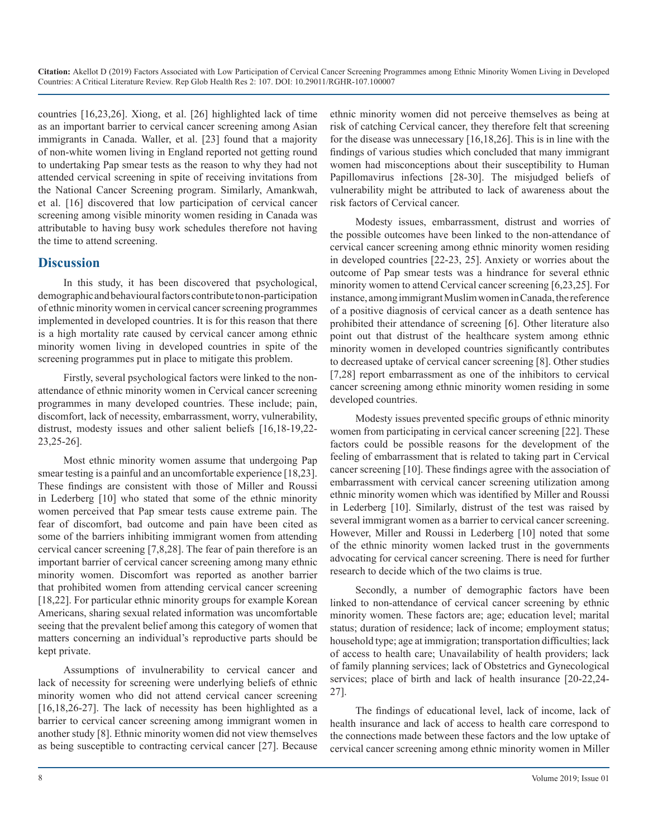countries [16,23,26]. Xiong, et al. [26] highlighted lack of time as an important barrier to cervical cancer screening among Asian immigrants in Canada. Waller, et al. [23] found that a majority of non-white women living in England reported not getting round to undertaking Pap smear tests as the reason to why they had not attended cervical screening in spite of receiving invitations from the National Cancer Screening program. Similarly, Amankwah, et al. [16] discovered that low participation of cervical cancer screening among visible minority women residing in Canada was attributable to having busy work schedules therefore not having the time to attend screening.

#### **Discussion**

In this study, it has been discovered that psychological, demographic and behavioural factors contribute to non-participation of ethnic minority women in cervical cancer screening programmes implemented in developed countries. It is for this reason that there is a high mortality rate caused by cervical cancer among ethnic minority women living in developed countries in spite of the screening programmes put in place to mitigate this problem.

Firstly, several psychological factors were linked to the nonattendance of ethnic minority women in Cervical cancer screening programmes in many developed countries. These include; pain, discomfort, lack of necessity, embarrassment, worry, vulnerability, distrust, modesty issues and other salient beliefs [16,18-19,22- 23,25-26].

Most ethnic minority women assume that undergoing Pap smear testing is a painful and an uncomfortable experience [18,23]. These findings are consistent with those of Miller and Roussi in Lederberg [10] who stated that some of the ethnic minority women perceived that Pap smear tests cause extreme pain. The fear of discomfort, bad outcome and pain have been cited as some of the barriers inhibiting immigrant women from attending cervical cancer screening [7,8,28]. The fear of pain therefore is an important barrier of cervical cancer screening among many ethnic minority women. Discomfort was reported as another barrier that prohibited women from attending cervical cancer screening [18,22]. For particular ethnic minority groups for example Korean Americans, sharing sexual related information was uncomfortable seeing that the prevalent belief among this category of women that matters concerning an individual's reproductive parts should be kept private.

Assumptions of invulnerability to cervical cancer and lack of necessity for screening were underlying beliefs of ethnic minority women who did not attend cervical cancer screening [16,18,26-27]. The lack of necessity has been highlighted as a barrier to cervical cancer screening among immigrant women in another study [8]. Ethnic minority women did not view themselves as being susceptible to contracting cervical cancer [27]. Because ethnic minority women did not perceive themselves as being at risk of catching Cervical cancer, they therefore felt that screening for the disease was unnecessary [16,18,26]. This is in line with the findings of various studies which concluded that many immigrant women had misconceptions about their susceptibility to Human Papillomavirus infections [28-30]. The misjudged beliefs of vulnerability might be attributed to lack of awareness about the risk factors of Cervical cancer.

Modesty issues, embarrassment, distrust and worries of the possible outcomes have been linked to the non-attendance of cervical cancer screening among ethnic minority women residing in developed countries [22-23, 25]. Anxiety or worries about the outcome of Pap smear tests was a hindrance for several ethnic minority women to attend Cervical cancer screening [6,23,25]. For instance, among immigrant Muslim women in Canada, the reference of a positive diagnosis of cervical cancer as a death sentence has prohibited their attendance of screening [6]. Other literature also point out that distrust of the healthcare system among ethnic minority women in developed countries significantly contributes to decreased uptake of cervical cancer screening [8]. Other studies [7,28] report embarrassment as one of the inhibitors to cervical cancer screening among ethnic minority women residing in some developed countries.

Modesty issues prevented specific groups of ethnic minority women from participating in cervical cancer screening [22]. These factors could be possible reasons for the development of the feeling of embarrassment that is related to taking part in Cervical cancer screening [10]. These findings agree with the association of embarrassment with cervical cancer screening utilization among ethnic minority women which was identified by Miller and Roussi in Lederberg [10]. Similarly, distrust of the test was raised by several immigrant women as a barrier to cervical cancer screening. However, Miller and Roussi in Lederberg [10] noted that some of the ethnic minority women lacked trust in the governments advocating for cervical cancer screening. There is need for further research to decide which of the two claims is true.

Secondly, a number of demographic factors have been linked to non-attendance of cervical cancer screening by ethnic minority women. These factors are; age; education level; marital status; duration of residence; lack of income; employment status; household type; age at immigration; transportation difficulties; lack of access to health care; Unavailability of health providers; lack of family planning services; lack of Obstetrics and Gynecological services; place of birth and lack of health insurance [20-22,24-27].

The findings of educational level, lack of income, lack of health insurance and lack of access to health care correspond to the connections made between these factors and the low uptake of cervical cancer screening among ethnic minority women in Miller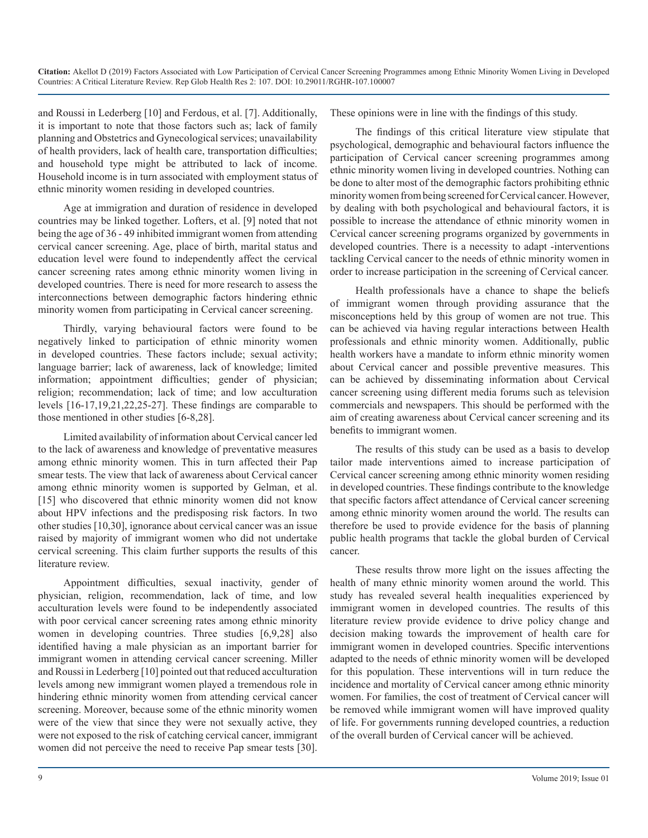and Roussi in Lederberg [10] and Ferdous, et al. [7]. Additionally, it is important to note that those factors such as; lack of family planning and Obstetrics and Gynecological services; unavailability of health providers, lack of health care, transportation difficulties; and household type might be attributed to lack of income. Household income is in turn associated with employment status of ethnic minority women residing in developed countries.

Age at immigration and duration of residence in developed countries may be linked together. Lofters, et al. [9] noted that not being the age of 36 - 49 inhibited immigrant women from attending cervical cancer screening. Age, place of birth, marital status and education level were found to independently affect the cervical cancer screening rates among ethnic minority women living in developed countries. There is need for more research to assess the interconnections between demographic factors hindering ethnic minority women from participating in Cervical cancer screening.

Thirdly, varying behavioural factors were found to be negatively linked to participation of ethnic minority women in developed countries. These factors include; sexual activity; language barrier; lack of awareness, lack of knowledge; limited information; appointment difficulties; gender of physician; religion; recommendation; lack of time; and low acculturation levels [16-17,19,21,22,25-27]. These findings are comparable to those mentioned in other studies [6-8,28].

Limited availability of information about Cervical cancer led to the lack of awareness and knowledge of preventative measures among ethnic minority women. This in turn affected their Pap smear tests. The view that lack of awareness about Cervical cancer among ethnic minority women is supported by Gelman, et al. [15] who discovered that ethnic minority women did not know about HPV infections and the predisposing risk factors. In two other studies [10,30], ignorance about cervical cancer was an issue raised by majority of immigrant women who did not undertake cervical screening. This claim further supports the results of this literature review.

Appointment difficulties, sexual inactivity, gender of physician, religion, recommendation, lack of time, and low acculturation levels were found to be independently associated with poor cervical cancer screening rates among ethnic minority women in developing countries. Three studies [6,9,28] also identified having a male physician as an important barrier for immigrant women in attending cervical cancer screening. Miller and Roussi in Lederberg [10] pointed out that reduced acculturation levels among new immigrant women played a tremendous role in hindering ethnic minority women from attending cervical cancer screening. Moreover, because some of the ethnic minority women were of the view that since they were not sexually active, they were not exposed to the risk of catching cervical cancer, immigrant women did not perceive the need to receive Pap smear tests [30].

These opinions were in line with the findings of this study.

The findings of this critical literature view stipulate that psychological, demographic and behavioural factors influence the participation of Cervical cancer screening programmes among ethnic minority women living in developed countries. Nothing can be done to alter most of the demographic factors prohibiting ethnic minority women from being screened for Cervical cancer. However, by dealing with both psychological and behavioural factors, it is possible to increase the attendance of ethnic minority women in Cervical cancer screening programs organized by governments in developed countries. There is a necessity to adapt -interventions tackling Cervical cancer to the needs of ethnic minority women in order to increase participation in the screening of Cervical cancer.

Health professionals have a chance to shape the beliefs of immigrant women through providing assurance that the misconceptions held by this group of women are not true. This can be achieved via having regular interactions between Health professionals and ethnic minority women. Additionally, public health workers have a mandate to inform ethnic minority women about Cervical cancer and possible preventive measures. This can be achieved by disseminating information about Cervical cancer screening using different media forums such as television commercials and newspapers. This should be performed with the aim of creating awareness about Cervical cancer screening and its benefits to immigrant women.

The results of this study can be used as a basis to develop tailor made interventions aimed to increase participation of Cervical cancer screening among ethnic minority women residing in developed countries. These findings contribute to the knowledge that specific factors affect attendance of Cervical cancer screening among ethnic minority women around the world. The results can therefore be used to provide evidence for the basis of planning public health programs that tackle the global burden of Cervical cancer.

These results throw more light on the issues affecting the health of many ethnic minority women around the world. This study has revealed several health inequalities experienced by immigrant women in developed countries. The results of this literature review provide evidence to drive policy change and decision making towards the improvement of health care for immigrant women in developed countries. Specific interventions adapted to the needs of ethnic minority women will be developed for this population. These interventions will in turn reduce the incidence and mortality of Cervical cancer among ethnic minority women. For families, the cost of treatment of Cervical cancer will be removed while immigrant women will have improved quality of life. For governments running developed countries, a reduction of the overall burden of Cervical cancer will be achieved.